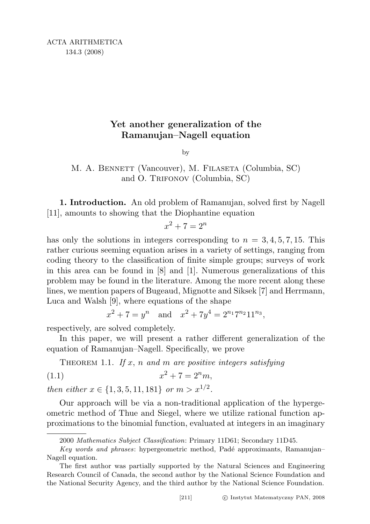## Yet another generalization of the Ramanujan–Nagell equation

by

M. A. BENNETT (Vancouver), M. FILASETA (Columbia, SC) and O. Trifonov (Columbia, SC)

1. Introduction. An old problem of Ramanujan, solved first by Nagell [11], amounts to showing that the Diophantine equation

$$
x^2 + 7 = 2^n
$$

has only the solutions in integers corresponding to  $n = 3, 4, 5, 7, 15$ . This rather curious seeming equation arises in a variety of settings, ranging from coding theory to the classification of finite simple groups; surveys of work in this area can be found in [8] and [1]. Numerous generalizations of this problem may be found in the literature. Among the more recent along these lines, we mention papers of Bugeaud, Mignotte and Siksek [7] and Herrmann, Luca and Walsh [9], where equations of the shape

$$
x^{2} + 7 = y^{n}
$$
 and  $x^{2} + 7y^{4} = 2^{n_{1}}7^{n_{2}}11^{n_{3}},$ 

respectively, are solved completely.

In this paper, we will present a rather different generalization of the equation of Ramanujan–Nagell. Specifically, we prove

THEOREM 1.1. If  $x$ ,  $n$  and  $m$  are positive integers satisfying

(1.1) 
$$
x^2 + 7 = 2^n m,
$$

then either  $x \in \{1, 3, 5, 11, 181\}$  or  $m > x^{1/2}$ .

Our approach will be via a non-traditional application of the hypergeometric method of Thue and Siegel, where we utilize rational function approximations to the binomial function, evaluated at integers in an imaginary

<sup>2000</sup> Mathematics Subject Classification: Primary 11D61; Secondary 11D45.

Key words and phrases: hypergeometric method, Padé approximants, Ramanujan– Nagell equation.

The first author was partially supported by the Natural Sciences and Engineering Research Council of Canada, the second author by the National Science Foundation and the National Security Agency, and the third author by the National Science Foundation.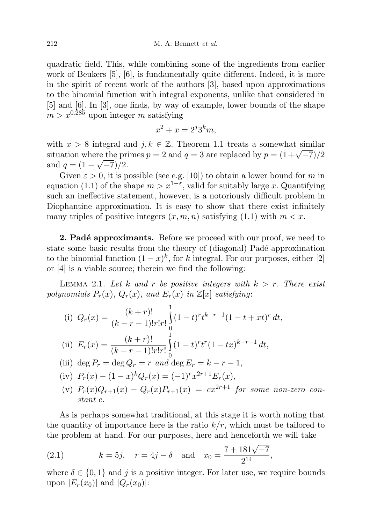quadratic field. This, while combining some of the ingredients from earlier work of Beukers [5], [6], is fundamentally quite different. Indeed, it is more in the spirit of recent work of the authors [3], based upon approximations to the binomial function with integral exponents, unlike that considered in [5] and [6]. In [3], one finds, by way of example, lower bounds of the shape  $m > x^{0.285}$  upon integer m satisfying

$$
x^2 + x = 2^j 3^k m,
$$

with  $x > 8$  integral and  $j, k \in \mathbb{Z}$ . Theorem 1.1 treats a somewhat similar with  $x > 8$  integral and  $j, \kappa \in \mathbb{Z}$ . Theorem 1.1 treats a somewhat similar situation where the primes  $p = 2$  and  $q = 3$  are replaced by  $p = (1 + \sqrt{-7})/2$ and  $q = (1 - \sqrt{-7})/2$ .

Given  $\varepsilon > 0$ , it is possible (see e.g. [10]) to obtain a lower bound for m in equation (1.1) of the shape  $m > x^{1-\epsilon}$ , valid for suitably large x. Quantifying such an ineffective statement, however, is a notoriously difficult problem in Diophantine approximation. It is easy to show that there exist infinitely many triples of positive integers  $(x, m, n)$  satisfying  $(1.1)$  with  $m < x$ .

**2. Padé approximants.** Before we proceed with our proof, we need to state some basic results from the theory of (diagonal) Padé approximation to the binomial function  $(1-x)^k$ , for k integral. For our purposes, either [2] or [4] is a viable source; therein we find the following:

LEMMA 2.1. Let k and r be positive integers with  $k > r$ . There exist polynomials  $P_r(x)$ ,  $Q_r(x)$ , and  $E_r(x)$  in  $\mathbb{Z}[x]$  satisfying:

(i) 
$$
Q_r(x) = \frac{(k+r)!}{(k-r-1)!r!r!} \int_0^1 (1-t)^r t^{k-r-1} (1-t+xt)^r dt
$$
,  
\n(ii)  $E_r(x) = \frac{(k+r)!}{(k-r-1)!r!r!} \int_0^1 (1-t)^r t^r (1-tx)^{k-r-1} dt$ ,  
\n(iii)  $\deg P_r = \deg Q_r = r$  and  $\deg E_r = k-r-1$ ,  
\n(iv)  $P_r(x) - (1-x)^k Q_r(x) = (-1)^r x^{2r+1} E_r(x)$ ,  
\n(v)  $P_r(x) Q_{r+1}(x) - Q_r(x) P_{r+1}(x) = cx^{2r+1}$  for some non-zero

(v)  $P_r(x)Q_{r+1}(x) - Q_r(x)P_{r+1}(x) = cx^{2r+1}$  for some non-zero constant c.

As is perhaps somewhat traditional, at this stage it is worth noting that the quantity of importance here is the ratio  $k/r$ , which must be tailored to the problem at hand. For our purposes, here and henceforth we will take

(2.1) 
$$
k = 5j
$$
,  $r = 4j - \delta$  and  $x_0 = \frac{7 + 181\sqrt{-7}}{2^{14}}$ ,

where  $\delta \in \{0,1\}$  and j is a positive integer. For later use, we require bounds upon  $|E_r(x_0)|$  and  $|Q_r(x_0)|$ :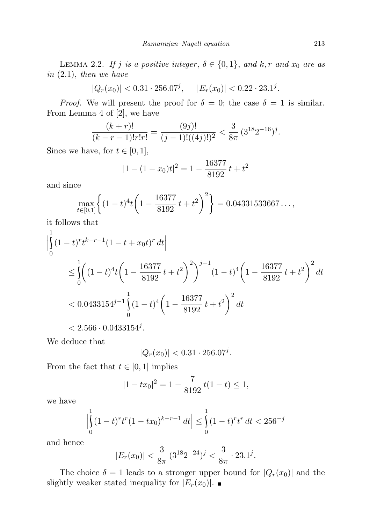LEMMA 2.2. If j is a positive integer,  $\delta \in \{0,1\}$ , and k, r and  $x_0$  are as in (2.1), then we have

 $|Q_r(x_0)| < 0.31 \cdot 256.07^j, \quad |E_r(x_0)| < 0.22 \cdot 23.1^j.$ 

*Proof.* We will present the proof for  $\delta = 0$ ; the case  $\delta = 1$  is similar. From Lemma 4 of [2], we have

$$
\frac{(k+r)!}{(k-r-1)!r!r!} = \frac{(9j)!}{(j-1)!((4j)!)^2} < \frac{3}{8\pi} \left(3^{18}2^{-16}\right)^j.
$$

Since we have, for  $t \in [0, 1]$ ,

$$
|1 - (1 - x_0)t|^2 = 1 - \frac{16377}{8192}t + t^2
$$

and since

$$
\max_{t \in [0,1]} \left\{ (1-t)^4 t \left( 1 - \frac{16377}{8192} t + t^2 \right)^2 \right\} = 0.04331533667\dots,
$$

it follows that

$$
\left| \int_{0}^{1} (1-t)^{r} t^{k-r-1} (1-t+x_{0}t)^{r} dt \right|
$$
\n
$$
\leq \int_{0}^{1} \left( (1-t)^{4} t \left( 1 - \frac{16377}{8192} t + t^{2} \right)^{2} \right)^{j-1} (1-t)^{4} \left( 1 - \frac{16377}{8192} t + t^{2} \right)^{2} dt
$$
\n
$$
< 0.0433154^{j-1} \int_{0}^{1} (1-t)^{4} \left( 1 - \frac{16377}{8192} t + t^{2} \right)^{2} dt
$$
\n
$$
< 2.566 \cdot 0.0433154^{j}.
$$

We deduce that

$$
|Q_r(x_0)| < 0.31 \cdot 256.07^j.
$$

From the fact that  $t \in [0, 1]$  implies

$$
|1 - tx_0|^2 = 1 - \frac{7}{8192}t(1 - t) \le 1,
$$

we have

$$
\left| \int_{0}^{1} (1-t)^{r} t^{r} (1-tx_{0})^{k-r-1} dt \right| \leq \int_{0}^{1} (1-t)^{r} t^{r} dt < 256^{-j}
$$

and hence

$$
|E_r(x_0)| < \frac{3}{8\pi} \left(3^{18} 2^{-24}\right)^j < \frac{3}{8\pi} \cdot 23.1^j.
$$

The choice  $\delta = 1$  leads to a stronger upper bound for  $|Q_r(x_0)|$  and the slightly weaker stated inequality for  $|E_r(x_0)|$ .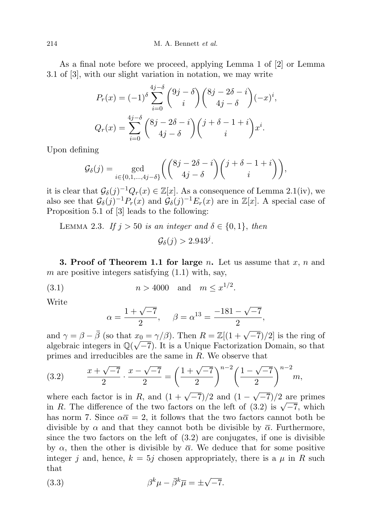As a final note before we proceed, applying Lemma 1 of [2] or Lemma 3.1 of [3], with our slight variation in notation, we may write

$$
P_r(x) = (-1)^{\delta} \sum_{i=0}^{4j-\delta} {9j-\delta \choose i} {8j-2\delta-i \choose 4j-\delta} (-x)^i,
$$
  

$$
Q_r(x) = \sum_{i=0}^{4j-\delta} {8j-2\delta-i \choose 4j-\delta} {j+\delta-1+i \choose i} x^i.
$$

Upon defining

$$
\mathcal{G}_{\delta}(j) = \gcd_{i \in \{0, 1, \dots, 4j - \delta\}} \left( \binom{8j - 2\delta - i}{4j - \delta} \binom{j + \delta - 1 + i}{i} \right),
$$

it is clear that  $\mathcal{G}_{\delta}(j)^{-1}Q_r(x) \in \mathbb{Z}[x]$ . As a consequence of Lemma 2.1(iv), we also see that  $\mathcal{G}_{\delta}(j)^{-1}P_r(x)$  and  $\mathcal{G}_{\delta}(j)^{-1}E_r(x)$  are in  $\mathbb{Z}[x]$ . A special case of Proposition 5.1 of [3] leads to the following:

LEMMA 2.3. If 
$$
j > 50
$$
 is an integer and  $\delta \in \{0, 1\}$ , then  

$$
\mathcal{G}_{\delta}(j) > 2.943^{j}.
$$

**3. Proof of Theorem 1.1 for large n.** Let us assume that  $x, n$  and m are positive integers satisfying  $(1.1)$  with, say,

(3.1) 
$$
n > 4000
$$
 and  $m \leq x^{1/2}$ .

Write

$$
\alpha = \frac{1 + \sqrt{-7}}{2}, \quad \beta = \alpha^{13} = \frac{-181 - \sqrt{-7}}{2},
$$

and  $\gamma = \beta - \overline{\beta}$  (so that  $x_0 = \gamma/\beta$ ). Then  $R = \mathbb{Z}[(1 + \sqrt{-7})/2]$  is the ring of algebraic integers in  $\mathbb{Q}(\sqrt{-7})$ . It is a Unique Factorization Domain, so that primes and irreducibles are the same in R. We observe that

(3.2) 
$$
\frac{x+\sqrt{-7}}{2} \cdot \frac{x-\sqrt{-7}}{2} = \left(\frac{1+\sqrt{-7}}{2}\right)^{n-2} \left(\frac{1-\sqrt{-7}}{2}\right)^{n-2} m,
$$

where each factor is in R, and  $(1 + \sqrt{-7})/2$  and  $(1 (-7)/2$  are primes where each factor is in R, and  $(1 + \sqrt{-t})/2$  and  $(1 - \sqrt{-t})/2$  are primes<br>in R. The difference of the two factors on the left of (3.2) is  $\sqrt{-7}$ , which has norm 7. Since  $\alpha \overline{\alpha} = 2$ , it follows that the two factors cannot both be divisible by  $\alpha$  and that they cannot both be divisible by  $\bar{\alpha}$ . Furthermore, since the two factors on the left of  $(3.2)$  are conjugates, if one is divisible by  $\alpha$ , then the other is divisible by  $\overline{\alpha}$ . We deduce that for some positive integer j and, hence,  $k = 5j$  chosen appropriately, there is a  $\mu$  in R such that

(3.3) 
$$
\beta^k \mu - \bar{\beta}^k \bar{\mu} = \pm \sqrt{-7}.
$$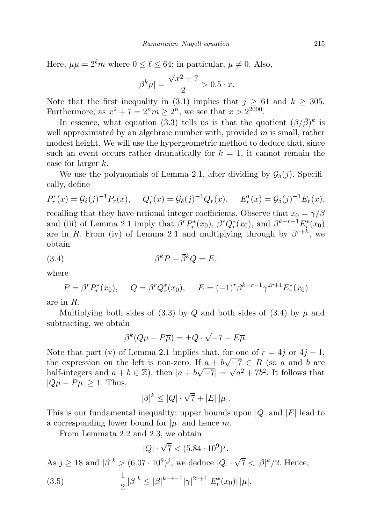Here,  $\mu \overline{\mu} = 2^{\ell} m$  where  $0 \leq \ell \leq 64$ ; in particular,  $\mu \neq 0$ . Also,

$$
|\beta^{k}\mu| = \frac{\sqrt{x^2 + 7}}{2} > 0.5 \cdot x.
$$

Note that the first inequality in (3.1) implies that  $j \geq 61$  and  $k \geq 305$ . Furthermore, as  $x^2 + 7 = 2^n m \ge 2^n$ , we see that  $x > 2^{2000}$ .

In essence, what equation (3.3) tells us is that the quotient  $(\beta/\overline{\beta})^k$  is well approximated by an algebraic number with, provided  $m$  is small, rather modest height. We will use the hypergeometric method to deduce that, since such an event occurs rather dramatically for  $k = 1$ , it cannot remain the case for larger k.

We use the polynomials of Lemma 2.1, after dividing by  $\mathcal{G}_{\delta}(j)$ . Specifically, define

$$
P_r^*(x) = \mathcal{G}_{\delta}(j)^{-1} P_r(x), \quad Q_r^*(x) = \mathcal{G}_{\delta}(j)^{-1} Q_r(x), \quad E_r^*(x) = \mathcal{G}_{\delta}(j)^{-1} E_r(x),
$$

recalling that they have rational integer coefficients. Observe that  $x_0 = \gamma/\beta$ and (iii) of Lemma 2.1 imply that  $\beta^r P_r^*(x_0)$ ,  $\beta^r Q_r^*(x_0)$ , and  $\beta^{k-r-1} E_r^*(x_0)$ are in R. From (iv) of Lemma 2.1 and multiplying through by  $\beta^{r+k}$ , we obtain

(3.4) β <sup>k</sup>P − β <sup>k</sup>Q = E,

where

$$
P = \beta^r P_r^*(x_0), \qquad Q = \beta^r Q_r^*(x_0), \qquad E = (-1)^r \beta^{k-r-1} \gamma^{2r+1} E_r^*(x_0)
$$

are in R.

Multiplying both sides of (3.3) by Q and both sides of (3.4) by  $\bar{\mu}$  and subtracting, we obtain

$$
\beta^{k}(Q\mu - P\overline{\mu}) = \pm Q \cdot \sqrt{-7} - E\overline{\mu}.
$$

Note that part (v) of Lemma 2.1 implies that, for one of  $r = 4j$  or  $4j - 1$ , the expression on the left is non-zero. If  $a + b\sqrt{-7} \in R$  (so a and b are half-integers and  $a + b \in \mathbb{Z}$ , then  $|a + b\sqrt{-7}| = \sqrt{a^2 + 7b^2}$ . It follows that  $|Q\mu - P\overline{\mu}| \geq 1$ . Thus,

$$
|\beta|^k \le |Q| \cdot \sqrt{7} + |E| |\overline{\mu}|.
$$

This is our fundamental inequality; upper bounds upon  $|Q|$  and  $|E|$  lead to a corresponding lower bound for  $|\mu|$  and hence m.

From Lemmata 2.2 and 2.3, we obtain

$$
|Q| \cdot \sqrt{7} < (5.84 \cdot 10^9)^j.
$$

As 
$$
j \ge 18
$$
 and  $|\beta|^k > (6.07 \cdot 10^9)^j$ , we deduce  $|Q| \cdot \sqrt{7} < |\beta|^k / 2$ . Hence,  
(3.5) 
$$
\frac{1}{2} |\beta|^k \le |\beta|^{k-r-1} |\gamma|^{2r+1} |E_r^*(x_0)| |\mu|.
$$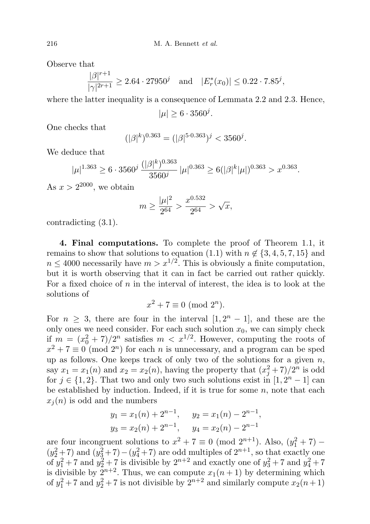Observe that

$$
\frac{|\beta|^{r+1}}{|\gamma|^{2r+1}} \ge 2.64 \cdot 27950^j \quad \text{and} \quad |E_r^*(x_0)| \le 0.22 \cdot 7.85^j,
$$

where the latter inequality is a consequence of Lemmata 2.2 and 2.3. Hence,

 $|\mu| \ge 6 \cdot 3560^j$ .

One checks that

$$
(|\beta|^k)^{0.363} = (|\beta|^{5 \cdot 0.363})^j < 3560^j.
$$

We deduce that

$$
|\mu|^{1.363} \ge 6 \cdot 3560^j \frac{(|\beta|^k)^{0.363}}{3560^j} |\mu|^{0.363} \ge 6(|\beta|^k |\mu|)^{0.363} > x^{0.363}.
$$

As  $x > 2^{2000}$ , we obtain

$$
m \ge \frac{|\mu|^2}{2^{64}} > \frac{x^{0.532}}{2^{64}} > \sqrt{x},
$$

contradicting (3.1).

4. Final computations. To complete the proof of Theorem 1.1, it remains to show that solutions to equation (1.1) with  $n \notin \{3, 4, 5, 7, 15\}$  and  $n \leq 4000$  necessarily have  $m > x^{1/2}$ . This is obviously a finite computation, but it is worth observing that it can in fact be carried out rather quickly. For a fixed choice of n in the interval of interest, the idea is to look at the solutions of

$$
x^2 + 7 \equiv 0 \pmod{2^n}.
$$

For  $n \geq 3$ , there are four in the interval  $[1, 2<sup>n</sup> - 1]$ , and these are the only ones we need consider. For each such solution  $x_0$ , we can simply check if  $m = (x_0^2 + 7)/2^n$  satisfies  $m < x^{1/2}$ . However, computing the roots of  $x^2 + 7 \equiv 0 \pmod{2^n}$  for each *n* is unnecessary, and a program can be sped up as follows. One keeps track of only two of the solutions for a given  $n$ , say  $x_1 = x_1(n)$  and  $x_2 = x_2(n)$ , having the property that  $(x_j^2 + 7)/2^n$  is odd for  $j \in \{1,2\}$ . That two and only two such solutions exist in  $[1, 2<sup>n</sup> - 1]$  can be established by induction. Indeed, if it is true for some  $n$ , note that each  $x_i(n)$  is odd and the numbers

$$
y_1 = x_1(n) + 2^{n-1}
$$
,  $y_2 = x_1(n) - 2^{n-1}$ ,  
\n $y_3 = x_2(n) + 2^{n-1}$ ,  $y_4 = x_2(n) - 2^{n-1}$ 

are four incongruent solutions to  $x^2 + 7 \equiv 0 \pmod{2^{n+1}}$ . Also,  $(y_1^2 + 7)$  $(y_2^2+7)$  and  $(y_3^2+7)-(y_4^2+7)$  are odd multiples of  $2^{n+1}$ , so that exactly one of  $y_1^2 + 7$  and  $y_2^2 + 7$  is divisible by  $2^{n+2}$  and exactly one of  $y_3^2 + 7$  and  $y_4^2 + 7$ is divisible by  $2^{n+2}$ . Thus, we can compute  $x_1(n+1)$  by determining which of  $y_1^2 + 7$  and  $y_2^2 + 7$  is not divisible by  $2^{n+2}$  and similarly compute  $x_2(n+1)$